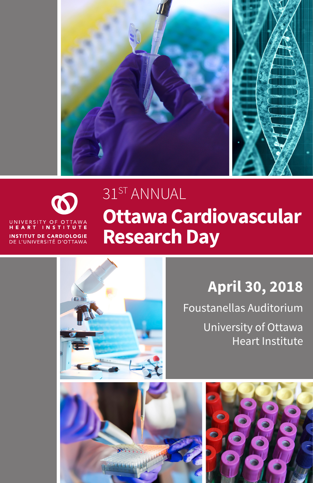



# 31ST ANNUAL **Ottawa Cardiovascular Research Day**

# **April 30, 2018**

Foustanellas Auditorium University of Ottawa Heart Institute

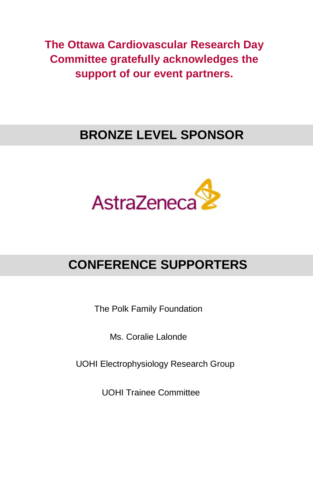**The Ottawa Cardiovascular Research Day Committee gratefully acknowledges the support of our event partners.**

# **BRONZE LEVEL SPONSOR**



# **CONFERENCE SUPPORTERS**

The Polk Family Foundation

Ms. Coralie Lalonde

UOHI Electrophysiology Research Group

UOHI Trainee Committee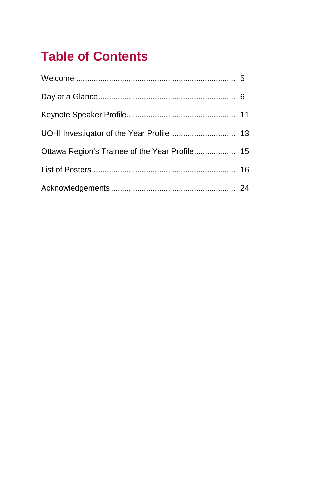# **Table of Contents**

| Ottawa Region's Trainee of the Year Profile 15 |  |
|------------------------------------------------|--|
|                                                |  |
|                                                |  |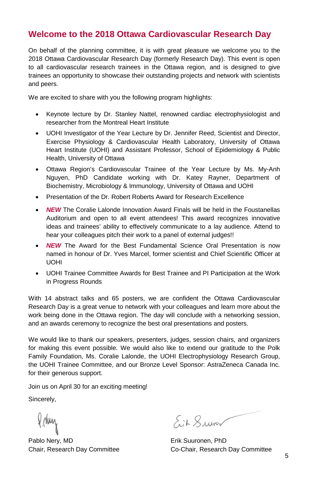## **Welcome to the 2018 Ottawa Cardiovascular Research Day**

On behalf of the planning committee, it is with great pleasure we welcome you to the 2018 Ottawa Cardiovascular Research Day (formerly Research Day). This event is open to all cardiovascular research trainees in the Ottawa region, and is designed to give trainees an opportunity to showcase their outstanding projects and network with scientists and peers.

We are excited to share with you the following program highlights:

- Keynote lecture by Dr. Stanley Nattel, renowned cardiac electrophysiologist and researcher from the Montreal Heart Institute
- UOHI Investigator of the Year Lecture by Dr. Jennifer Reed, Scientist and Director, Exercise Physiology & Cardiovascular Health Laboratory, University of Ottawa Heart Institute (UOHI) and Assistant Professor, School of Epidemiology & Public Health, University of Ottawa
- Ottawa Region's Cardiovascular Trainee of the Year Lecture by Ms. My-Anh Nguyen, PhD Candidate working with Dr. Katey Rayner, Department of Biochemistry, Microbiology & Immunology, University of Ottawa and UOHI
- Presentation of the Dr. Robert Roberts Award for Research Excellence
- *NEW* The Coralie Lalonde Innovation Award Finals will be held in the Foustanellas Auditorium and open to all event attendees! This award recognizes innovative ideas and trainees' ability to effectively communicate to a lay audience. Attend to hear your colleagues pitch their work to a panel of external judges!!
- *NEW* The Award for the Best Fundamental Science Oral Presentation is now named in honour of Dr. Yves Marcel, former scientist and Chief Scientific Officer at UOHI
- UOHI Trainee Committee Awards for Best Trainee and PI Participation at the Work in Progress Rounds

With 14 abstract talks and 65 posters, we are confident the Ottawa Cardiovascular Research Day is a great venue to network with your colleagues and learn more about the work being done in the Ottawa region. The day will conclude with a networking session, and an awards ceremony to recognize the best oral presentations and posters.

We would like to thank our speakers, presenters, judges, session chairs, and organizers for making this event possible. We would also like to extend our gratitude to the Polk Family Foundation, Ms. Coralie Lalonde, the UOHI Electrophysiology Research Group, the UOHI Trainee Committee, and our Bronze Level Sponsor: AstraZeneca Canada Inc. for their generous support.

Join us on April 30 for an exciting meeting!

Sincerely,

Pirluy

Pablo Nery, MD **Erik Suuronen**, PhD

Eit Suiv

Chair, Research Day Committee Co-Chair, Research Day Committee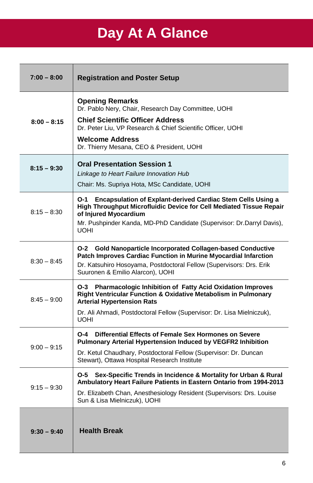# **Day At A Glance**

| $7:00 - 8:00$ | <b>Registration and Poster Setup</b>                                                                                                                                                                                                                                        |
|---------------|-----------------------------------------------------------------------------------------------------------------------------------------------------------------------------------------------------------------------------------------------------------------------------|
| $8:00 - 8:15$ | <b>Opening Remarks</b><br>Dr. Pablo Nery, Chair, Research Day Committee, UOHI<br><b>Chief Scientific Officer Address</b><br>Dr. Peter Liu, VP Research & Chief Scientific Officer, UOHI<br><b>Welcome Address</b><br>Dr. Thierry Mesana, CEO & President, UOHI              |
| $8:15 - 9:30$ | <b>Oral Presentation Session 1</b><br>Linkage to Heart Failure Innovation Hub<br>Chair: Ms. Supriya Hota, MSc Candidate, UOHI                                                                                                                                               |
| $8:15 - 8:30$ | <b>Encapsulation of Explant-derived Cardiac Stem Cells Using a</b><br>O-1<br>High Throughput Microfluidic Device for Cell Mediated Tissue Repair<br>of Injured Myocardium<br>Mr. Pushpinder Kanda, MD-PhD Candidate (Supervisor: Dr.Darryl Davis),<br>UOHI                  |
| $8:30 - 8:45$ | <b>Gold Nanoparticle Incorporated Collagen-based Conductive</b><br>O-2<br>Patch Improves Cardiac Function in Murine Myocardial Infarction<br>Dr. Katsuhiro Hosoyama, Postdoctoral Fellow (Supervisors: Drs. Erik<br>Suuronen & Emilio Alarcon), UOHI                        |
| $8:45 - 9:00$ | <b>Pharmacologic Inhibition of Fatty Acid Oxidation Improves</b><br>O-3<br><b>Right Ventricular Function &amp; Oxidative Metabolism in Pulmonary</b><br><b>Arterial Hypertension Rats</b><br>Dr. Ali Ahmadi, Postdoctoral Fellow (Supervisor: Dr. Lisa Mielniczuk),<br>UOHI |
| $9:00 - 9:15$ | Differential Effects of Female Sex Hormones on Severe<br>O-4<br><b>Pulmonary Arterial Hypertension Induced by VEGFR2 Inhibition</b><br>Dr. Ketul Chaudhary, Postdoctoral Fellow (Supervisor: Dr. Duncan<br>Stewart), Ottawa Hospital Research Institute                     |
| $9:15 - 9:30$ | Sex-Specific Trends in Incidence & Mortality for Urban & Rural<br>O-5<br>Ambulatory Heart Failure Patients in Eastern Ontario from 1994-2013<br>Dr. Elizabeth Chan, Anesthesiology Resident (Supervisors: Drs. Louise<br>Sun & Lisa Mielniczuk), UOHI                       |
| $9:30 - 9:40$ | <b>Health Break</b>                                                                                                                                                                                                                                                         |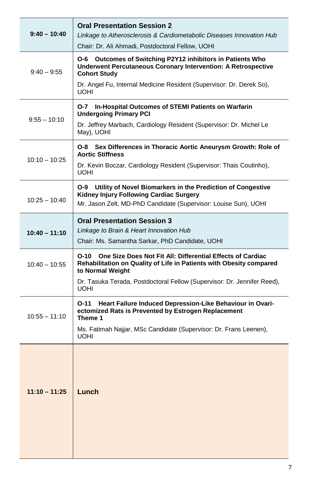| 9:40 – 10:40    | <b>Oral Presentation Session 2</b><br>Linkage to Atherosclerosis & Cardiometabolic Diseases Innovation Hub<br>Chair: Dr. Ali Ahmadi, Postdoctoral Fellow, UOHI                |
|-----------------|-------------------------------------------------------------------------------------------------------------------------------------------------------------------------------|
| $9:40 - 9:55$   | O-6 Outcomes of Switching P2Y12 inhibitors in Patients Who<br>Underwent Percutaneous Coronary Intervention: A Retrospective<br><b>Cohort Study</b>                            |
|                 | Dr. Angel Fu, Internal Medicine Resident (Supervisor: Dr. Derek So),<br><b>UOHI</b>                                                                                           |
| $9:55 - 10:10$  | In-Hospital Outcomes of STEMI Patients on Warfarin<br>O-7 -<br><b>Undergoing Primary PCI</b>                                                                                  |
|                 | Dr. Jeffrey Marbach, Cardiology Resident (Supervisor: Dr. Michel Le<br>May), UOHI                                                                                             |
|                 | Sex Differences in Thoracic Aortic Aneurysm Growth: Role of<br>O-8 –<br><b>Aortic Stiffness</b>                                                                               |
| $10:10 - 10:25$ | Dr. Kevin Boczar, Cardiology Resident (Supervisor: Thais Coutinho),<br><b>UOHI</b>                                                                                            |
| $10:25 - 10:40$ | O-9 Utility of Novel Biomarkers in the Prediction of Congestive<br>Kidney Injury Following Cardiac Surgery<br>Mr. Jason Zelt, MD-PhD Candidate (Supervisor: Louise Sun), UOHI |
|                 | <b>Oral Presentation Session 3</b>                                                                                                                                            |
| $10:40 - 11:10$ | Linkage to Brain & Heart Innovation Hub<br>Chair: Ms. Samantha Sarkar, PhD Candidate, UOHI                                                                                    |
| $10:40 - 10:55$ | One Size Does Not Fit All: Differential Effects of Cardiac<br>O-10<br>Rehabilitation on Quality of Life in Patients with Obesity compared<br>to Normal Weight                 |
|                 | Dr. Tasuka Terada, Postdoctoral Fellow (Supervisor: Dr. Jennifer Reed),<br>UOHI                                                                                               |
| $10:55 - 11:10$ | Heart Failure Induced Depression-Like Behaviour in Ovari-<br>O-11<br>ectomized Rats is Prevented by Estrogen Replacement<br>Theme 1                                           |
|                 | Ms. Fatimah Najjar, MSc Candidate (Supervisor: Dr. Frans Leenen),<br>UOHI                                                                                                     |
| $11:10 - 11:25$ | Lunch                                                                                                                                                                         |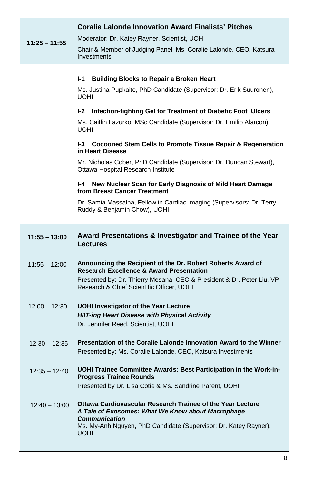| $11:25 - 11:55$ | <b>Coralie Lalonde Innovation Award Finalists' Pitches</b><br>Moderator: Dr. Katey Rayner, Scientist, UOHI<br>Chair & Member of Judging Panel: Ms. Coralie Lalonde, CEO, Katsura<br>Investments                                                                                                                                                                                      |
|-----------------|--------------------------------------------------------------------------------------------------------------------------------------------------------------------------------------------------------------------------------------------------------------------------------------------------------------------------------------------------------------------------------------|
|                 | <b>Building Blocks to Repair a Broken Heart</b><br>I-1<br>Ms. Justina Pupkaite, PhD Candidate (Supervisor: Dr. Erik Suuronen),<br>UOHI<br>l-2<br>Infection-fighting Gel for Treatment of Diabetic Foot Ulcers<br>Ms. Caitlin Lazurko, MSc Candidate (Supervisor: Dr. Emilio Alarcon),<br>UOHI<br>I-3 Cocooned Stem Cells to Promote Tissue Repair & Regeneration<br>in Heart Disease |
|                 | Mr. Nicholas Cober, PhD Candidate (Supervisor: Dr. Duncan Stewart),<br>Ottawa Hospital Research Institute<br>New Nuclear Scan for Early Diagnosis of Mild Heart Damage<br>I-4<br>from Breast Cancer Treatment<br>Dr. Samia Massalha, Fellow in Cardiac Imaging (Supervisors: Dr. Terry<br>Ruddy & Benjamin Chow), UOHI                                                               |
| $11:55 - 13:00$ | Award Presentations & Investigator and Trainee of the Year<br>Lectures                                                                                                                                                                                                                                                                                                               |
| $11:55 - 12:00$ | Announcing the Recipient of the Dr. Robert Roberts Award of<br><b>Research Excellence &amp; Award Presentation</b><br>Presented by: Dr. Thierry Mesana, CEO & President & Dr. Peter Liu, VP<br>Research & Chief Scientific Officer, UOHI                                                                                                                                             |
| $12:00 - 12:30$ | <b>UOHI Investigator of the Year Lecture</b><br><b>HIIT-ing Heart Disease with Physical Activity</b><br>Dr. Jennifer Reed, Scientist, UOHI                                                                                                                                                                                                                                           |
| $12:30 - 12:35$ | Presentation of the Coralie Lalonde Innovation Award to the Winner<br>Presented by: Ms. Coralie Lalonde, CEO, Katsura Investments                                                                                                                                                                                                                                                    |
| $12:35 - 12:40$ | UOHI Trainee Committee Awards: Best Participation in the Work-in-<br><b>Progress Trainee Rounds</b><br>Presented by Dr. Lisa Cotie & Ms. Sandrine Parent, UOHI                                                                                                                                                                                                                       |
| $12:40 - 13:00$ | Ottawa Cardiovascular Research Trainee of the Year Lecture<br>A Tale of Exosomes: What We Know about Macrophage<br><b>Communication</b><br>Ms. My-Anh Nguyen, PhD Candidate (Supervisor: Dr. Katey Rayner),<br>UOHI                                                                                                                                                                  |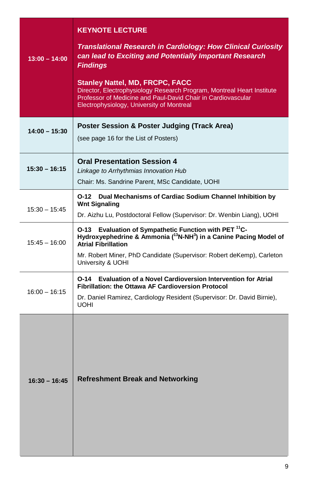| $13:00 - 14:00$ | <b>KEYNOTE LECTURE</b><br><b>Translational Research in Cardiology: How Clinical Curiosity</b><br>can lead to Exciting and Potentially Important Research<br><b>Findings</b><br><b>Stanley Nattel, MD, FRCPC, FACC</b><br>Director, Electrophysiology Research Program, Montreal Heart Institute<br>Professor of Medicine and Paul-David Chair in Cardiovascular<br>Electrophysiology, University of Montreal |
|-----------------|--------------------------------------------------------------------------------------------------------------------------------------------------------------------------------------------------------------------------------------------------------------------------------------------------------------------------------------------------------------------------------------------------------------|
| $14:00 - 15:30$ | Poster Session & Poster Judging (Track Area)<br>(see page 16 for the List of Posters)                                                                                                                                                                                                                                                                                                                        |
| $15:30 - 16:15$ | <b>Oral Presentation Session 4</b><br>Linkage to Arrhythmias Innovation Hub<br>Chair: Ms. Sandrine Parent, MSc Candidate, UOHI                                                                                                                                                                                                                                                                               |
| $15:30 - 15:45$ | O-12 Dual Mechanisms of Cardiac Sodium Channel Inhibition by<br><b>Wnt Signaling</b><br>Dr. Aizhu Lu, Postdoctoral Fellow (Supervisor: Dr. Wenbin Liang), UOHI                                                                                                                                                                                                                                               |
| $15:45 - 16:00$ | Evaluation of Sympathetic Function with PET <sup>11</sup> C-<br>O-13<br>Hydroxyephedrine & Ammonia ( <sup>13</sup> N-NH <sup>3</sup> ) in a Canine Pacing Model of<br><b>Atrial Fibrillation</b><br>Mr. Robert Miner, PhD Candidate (Supervisor: Robert deKemp), Carleton<br>University & UOHI                                                                                                               |
| $16:00 - 16:15$ | <b>Evaluation of a Novel Cardioversion Intervention for Atrial</b><br>O-14<br><b>Fibrillation: the Ottawa AF Cardioversion Protocol</b><br>Dr. Daniel Ramirez, Cardiology Resident (Supervisor: Dr. David Birnie),<br><b>UOHI</b>                                                                                                                                                                            |
| $16:30 - 16:45$ | <b>Refreshment Break and Networking</b>                                                                                                                                                                                                                                                                                                                                                                      |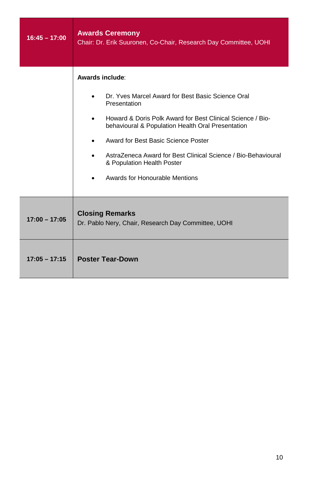| $16:45 - 17:00$ | <b>Awards Ceremony</b><br>Chair: Dr. Erik Suuronen, Co-Chair, Research Day Committee, UOHI                                                                                                                                                                                                                                                                                      |
|-----------------|---------------------------------------------------------------------------------------------------------------------------------------------------------------------------------------------------------------------------------------------------------------------------------------------------------------------------------------------------------------------------------|
|                 | Awards include:<br>Dr. Yves Marcel Award for Best Basic Science Oral<br>Presentation<br>Howard & Doris Polk Award for Best Clinical Science / Bio-<br>behavioural & Population Health Oral Presentation<br>Award for Best Basic Science Poster<br>AstraZeneca Award for Best Clinical Science / Bio-Behavioural<br>& Population Health Poster<br>Awards for Honourable Mentions |
| $17:00 - 17:05$ | <b>Closing Remarks</b><br>Dr. Pablo Nery, Chair, Research Day Committee, UOHI                                                                                                                                                                                                                                                                                                   |
| $17:05 - 17:15$ | <b>Poster Tear-Down</b>                                                                                                                                                                                                                                                                                                                                                         |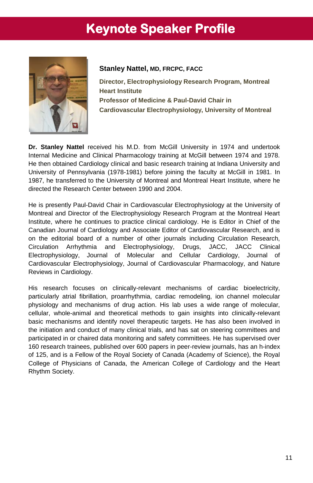# **Keynote Speaker Profile**



#### **Stanley Nattel, MD, FRCPC, FACC**

**Director, Electrophysiology Research Program, Montreal Heart Institute Professor of Medicine & Paul-David Chair in Cardiovascular Electrophysiology, University of Montreal**

**Dr. Stanley Nattel** received his M.D. from McGill University in 1974 and undertook Internal Medicine and Clinical Pharmacology training at McGill between 1974 and 1978. He then obtained Cardiology clinical and basic research training at Indiana University and University of Pennsylvania (1978-1981) before joining the faculty at McGill in 1981. In 1987, he transferred to the University of Montreal and Montreal Heart Institute, where he directed the Research Center between 1990 and 2004.

He is presently Paul-David Chair in Cardiovascular Electrophysiology at the University of Montreal and Director of the Electrophysiology Research Program at the Montreal Heart Institute, where he continues to practice clinical cardiology. He is Editor in Chief of the Canadian Journal of Cardiology and Associate Editor of Cardiovascular Research, and is on the editorial board of a number of other journals including Circulation Research, Circulation Arrhythmia and Electrophysiology, Drugs, JACC, JACC Clinical Electrophysiology, Journal of Molecular and Cellular Cardiology, Journal of Cardiovascular Electrophysiology, Journal of Cardiovascular Pharmacology, and Nature Reviews in Cardiology.

His research focuses on clinically-relevant mechanisms of cardiac bioelectricity, particularly atrial fibrillation, proarrhythmia, cardiac remodeling, ion channel molecular physiology and mechanisms of drug action. His lab uses a wide range of molecular, cellular, whole-animal and theoretical methods to gain insights into clinically-relevant basic mechanisms and identify novel therapeutic targets. He has also been involved in the initiation and conduct of many clinical trials, and has sat on steering committees and participated in or chaired data monitoring and safety committees. He has supervised over 160 research trainees, published over 600 papers in peer-review journals, has an h-index of 125, and is a Fellow of the Royal Society of Canada (Academy of Science), the Royal College of Physicians of Canada, the American College of Cardiology and the Heart Rhythm Society.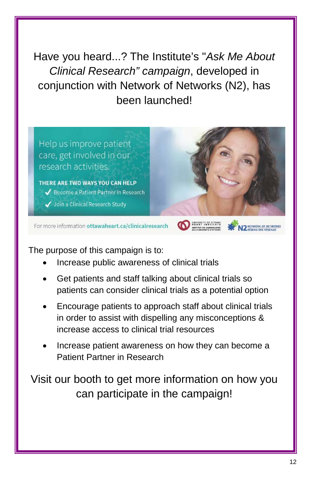Have you heard...? The Institute's "*Ask Me About Clinical Research" campaign*, developed in conjunction with Network of Networks (N2), has been launched!

Help us improve patient care, get involved in our research activities. THERE ARE TWO WAYS YOU CAN HELP ◆ Become a Patient Partner in Research Join a Clinical Research Study For more information ottawaheart.ca/clinicalresearch

The purpose of this campaign is to:

- Increase public awareness of clinical trials
- Get patients and staff talking about clinical trials so patients can consider clinical trials as a potential option
- Encourage patients to approach staff about clinical trials in order to assist with dispelling any misconceptions & increase access to clinical trial resources
- Increase patient awareness on how they can become a Patient Partner in Research

Visit our booth to get more information on how you can participate in the campaign!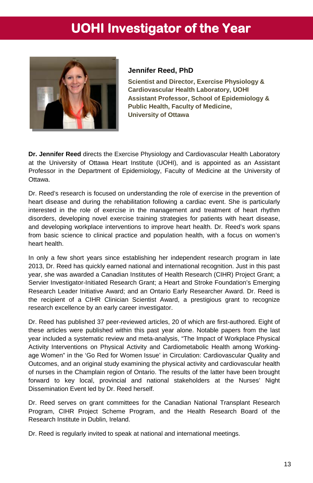# **UOHI Investigator of the Year**



#### **Jennifer Reed, PhD**

**Scientist and Director, Exercise Physiology & Cardiovascular Health Laboratory, UOHI Assistant Professor, School of Epidemiology & Public Health, Faculty of Medicine, University of Ottawa**

**Dr. Jennifer Reed** directs the Exercise Physiology and Cardiovascular Health Laboratory at the University of Ottawa Heart Institute (UOHI), and is appointed as an Assistant Professor in the Department of Epidemiology, Faculty of Medicine at the University of Ottawa.

Dr. Reed's research is focused on understanding the role of exercise in the prevention of heart disease and during the rehabilitation following a cardiac event. She is particularly interested in the role of exercise in the management and treatment of heart rhythm disorders, developing novel exercise training strategies for patients with heart disease, and developing workplace interventions to improve heart health. Dr. Reed's work spans from basic science to clinical practice and population health, with a focus on women's heart health.

In only a few short years since establishing her independent research program in late 2013, Dr. Reed has quickly earned national and international recognition. Just in this past year, she was awarded a Canadian Institutes of Health Research (CIHR) Project Grant; a Servier Investigator-Initiated Research Grant; a Heart and Stroke Foundation's Emerging Research Leader Initiative Award; and an Ontario Early Researcher Award. Dr. Reed is the recipient of a CIHR Clinician Scientist Award, a prestigious grant to recognize research excellence by an early career investigator.

Dr. Reed has published 37 peer-reviewed articles, 20 of which are first-authored. Eight of these articles were published within this past year alone. Notable papers from the last year included a systematic review and meta-analysis, "The Impact of Workplace Physical Activity Interventions on Physical Activity and Cardiometabolic Health among Workingage Women" in the 'Go Red for Women Issue' in Circulation: Cardiovascular Quality and Outcomes, and an original study examining the physical activity and cardiovascular health of nurses in the Champlain region of Ontario. The results of the latter have been brought forward to key local, provincial and national stakeholders at the Nurses' Night Dissemination Event led by Dr. Reed herself.

Dr. Reed serves on grant committees for the Canadian National Transplant Research Program, CIHR Project Scheme Program, and the Health Research Board of the Research Institute in Dublin, Ireland.

Dr. Reed is regularly invited to speak at national and international meetings.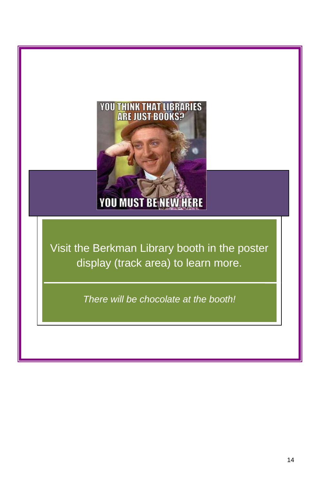

Visit the Berkman Library booth in the poster display (track area) to learn more.

*There will be chocolate at the booth!*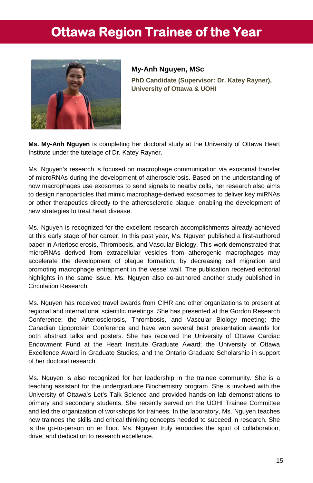# **Ottawa Region Trainee of the Year**



**My-Anh Nguyen, MSc PhD Candidate (Supervisor: Dr. Katey Rayner), University of Ottawa & UOHI**

**Ms. My-Anh Nguyen** is completing her doctoral study at the University of Ottawa Heart Institute under the tutelage of Dr. Katey Rayner.

Ms. Nguyen's research is focused on macrophage communication via exosomal transfer of microRNAs during the development of atherosclerosis. Based on the understanding of how macrophages use exosomes to send signals to nearby cells, her research also aims to design nanoparticles that mimic macrophage-derived exosomes to deliver key miRNAs or other therapeutics directly to the atherosclerotic plaque, enabling the development of new strategies to treat heart disease.

Ms. Nguyen is recognized for the excellent research accomplishments already achieved at this early stage of her career. In this past year, Ms. Nguyen published a first-authored paper in Arteriosclerosis, Thrombosis, and Vascular Biology. This work demonstrated that microRNAs derived from extracellular vesicles from atherogenic macrophages may accelerate the development of plaque formation, by decreasing cell migration and promoting macrophage entrapment in the vessel wall. The publication received editorial highlights in the same issue. Ms. Nguyen also co-authored another study published in Circulation Research.

Ms. Nguyen has received travel awards from CIHR and other organizations to present at regional and international scientific meetings. She has presented at the Gordon Research Conference; the Arteriosclerosis, Thrombosis, and Vascular Biology meeting; the Canadian Lipoprotein Conference and have won several best presentation awards for both abstract talks and posters. She has received the University of Ottawa Cardiac Endowment Fund at the Heart Institute Graduate Award; the University of Ottawa Excellence Award in Graduate Studies; and the Ontario Graduate Scholarship in support of her doctoral research.

Ms. Nguyen is also recognized for her leadership in the trainee community. She is a teaching assistant for the undergraduate Biochemistry program. She is involved with the University of Ottawa's Let's Talk Science and provided hands-on lab demonstrations to primary and secondary students. She recently served on the UOHI Trainee Committee and led the organization of workshops for trainees. In the laboratory, Ms. Nguyen teaches new trainees the skills and critical thinking concepts needed to succeed in research. She is the go-to-person on er floor. Ms. Nguyen truly embodies the spirit of collaboration, drive, and dedication to research excellence.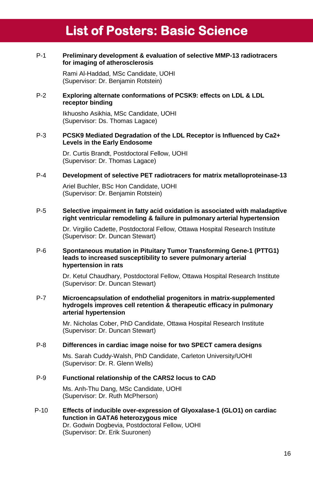# **List of Posters: Basic Science**

#### P-1 **Preliminary development & evaluation of selective MMP-13 radiotracers for imaging of atherosclerosis**

Rami Al-Haddad, MSc Candidate, UOHI (Supervisor: Dr. Benjamin Rotstein)

#### P-2 **Exploring alternate conformations of PCSK9: effects on LDL & LDL receptor binding**

Ikhuosho Asikhia, MSc Candidate, UOHI (Supervisor: Ds. Thomas Lagace)

#### P-3 **PCSK9 Mediated Degradation of the LDL Receptor is Influenced by Ca2+ Levels in the Early Endosome**

Dr. Curtis Brandt, Postdoctoral Fellow, UOHI (Supervisor: Dr. Thomas Lagace)

#### P-4 **Development of selective PET radiotracers for matrix metalloproteinase-13**

Ariel Buchler, BSc Hon Candidate, UOHI (Supervisor: Dr. Benjamin Rotstein)

#### P-5 **Selective impairment in fatty acid oxidation is associated with maladaptive right ventricular remodeling & failure in pulmonary arterial hypertension**

Dr. Virgilio Cadette, Postdoctoral Fellow, Ottawa Hospital Research Institute (Supervisor: Dr. Duncan Stewart)

#### P-6 **Spontaneous mutation in Pituitary Tumor Transforming Gene-1 (PTTG1) leads to increased susceptibility to severe pulmonary arterial hypertension in rats**

Dr. Ketul Chaudhary, Postdoctoral Fellow, Ottawa Hospital Research Institute (Supervisor: Dr. Duncan Stewart)

#### P-7 **Microencapsulation of endothelial progenitors in matrix-supplemented hydrogels improves cell retention & therapeutic efficacy in pulmonary arterial hypertension**

Mr. Nicholas Cober, PhD Candidate, Ottawa Hospital Research Institute (Supervisor: Dr. Duncan Stewart)

#### P-8 **Differences in cardiac image noise for two SPECT camera designs**

Ms. Sarah Cuddy-Walsh, PhD Candidate, Carleton University/UOHI (Supervisor: Dr. R. Glenn Wells)

#### P-9 **Functional relationship of the CARS2 locus to CAD**

Ms. Anh-Thu Dang, MSc Candidate, UOHI (Supervisor: Dr. Ruth McPherson)

P-10 **Effects of inducible over-expression of Glyoxalase-1 (GLO1) on cardiac function in GATA6 heterozygous mice** Dr. Godwin Dogbevia, Postdoctoral Fellow, UOHI

(Supervisor: Dr. Erik Suuronen)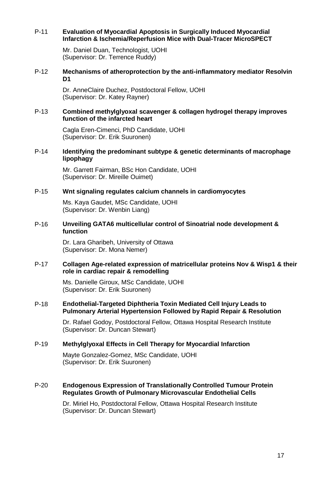#### P-11 **Evaluation of Myocardial Apoptosis in Surgically Induced Myocardial Infarction & Ischemia/Reperfusion Mice with Dual-Tracer MicroSPECT**

Mr. Daniel Duan, Technologist, UOHI (Supervisor: Dr. Terrence Ruddy)

#### P-12 **Mechanisms of atheroprotection by the anti-inflammatory mediator Resolvin D1**

Dr. AnneClaire Duchez, Postdoctoral Fellow, UOHI (Supervisor: Dr. Katey Rayner)

#### P-13 **Combined methylglyoxal scavenger & collagen hydrogel therapy improves function of the infarcted heart**

Cagla Eren-Cimenci, PhD Candidate, UOHI (Supervisor: Dr. Erik Suuronen)

#### P-14 **Identifying the predominant subtype & genetic determinants of macrophage lipophagy**

Mr. Garrett Fairman, BSc Hon Candidate, UOHI (Supervisor: Dr. Mireille Ouimet)

#### P-15 **Wnt signaling regulates calcium channels in cardiomyocytes**

Ms. Kaya Gaudet, MSc Candidate, UOHI (Supervisor: Dr. Wenbin Liang)

#### P-16 **Unveiling GATA6 multicellular control of Sinoatrial node development & function**

Dr. Lara Gharibeh, University of Ottawa (Supervisor: Dr. Mona Nemer)

#### P-17 **Collagen Age-related expression of matricellular proteins Nov & Wisp1 & their role in cardiac repair & remodelling**

Ms. Danielle Giroux, MSc Candidate, UOHI (Supervisor: Dr. Erik Suuronen)

#### P-18 **Endothelial-Targeted Diphtheria Toxin Mediated Cell Injury Leads to Pulmonary Arterial Hypertension Followed by Rapid Repair & Resolution**

Dr. Rafael Godoy, Postdoctoral Fellow, Ottawa Hospital Research Institute (Supervisor: Dr. Duncan Stewart)

#### P-19 **Methylglyoxal Effects in Cell Therapy for Myocardial Infarction**

Mayte Gonzalez-Gomez, MSc Candidate, UOHI (Supervisor: Dr. Erik Suuronen)

#### P-20 **Endogenous Expression of Translationally Controlled Tumour Protein Regulates Growth of Pulmonary Microvascular Endothelial Cells**

Dr. Miriel Ho, Postdoctoral Fellow, Ottawa Hospital Research Institute (Supervisor: Dr. Duncan Stewart)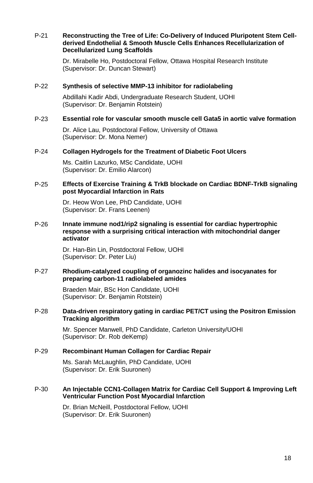#### P-21 **Reconstructing the Tree of Life: Co-Delivery of Induced Pluripotent Stem Cellderived Endothelial & Smooth Muscle Cells Enhances Recellularization of Decellularized Lung Scaffolds**

Dr. Mirabelle Ho, Postdoctoral Fellow, Ottawa Hospital Research Institute (Supervisor: Dr. Duncan Stewart)

#### P-22 **Synthesis of selective MMP-13 inhibitor for radiolabeling**

Abdillahi Kadir Abdi, Undergraduate Research Student, UOHI (Supervisor: Dr. Benjamin Rotstein)

#### P-23 **Essential role for vascular smooth muscle cell Gata5 in aortic valve formation**

Dr. Alice Lau, Postdoctoral Fellow, University of Ottawa (Supervisor: Dr. Mona Nemer)

#### P-24 **Collagen Hydrogels for the Treatment of Diabetic Foot Ulcers**

Ms. Caitlin Lazurko, MSc Candidate, UOHI (Supervisor: Dr. Emilio Alarcon)

#### P-25 **Effects of Exercise Training & TrkB blockade on Cardiac BDNF-TrkB signaling post Myocardial Infarction in Rats**

Dr. Heow Won Lee, PhD Candidate, UOHI (Supervisor: Dr. Frans Leenen)

#### P-26 **Innate immune nod1/rip2 signaling is essential for cardiac hypertrophic response with a surprising critical interaction with mitochondrial danger activator**

Dr. Han-Bin Lin, Postdoctoral Fellow, UOHI (Supervisor: Dr. Peter Liu)

#### P-27 **Rhodium-catalyzed coupling of organozinc halides and isocyanates for preparing carbon-11 radiolabeled amides**

Braeden Mair, BSc Hon Candidate, UOHI (Supervisor: Dr. Benjamin Rotstein)

#### P-28 **Data-driven respiratory gating in cardiac PET/CT using the Positron Emission Tracking algorithm**

Mr. Spencer Manwell, PhD Candidate, Carleton University/UOHI (Supervisor: Dr. Rob deKemp)

#### P-29 **Recombinant Human Collagen for Cardiac Repair**

Ms. Sarah McLaughlin, PhD Candidate, UOHI (Supervisor: Dr. Erik Suuronen)

#### P-30 **An Injectable CCN1-Collagen Matrix for Cardiac Cell Support & Improving Left Ventricular Function Post Myocardial Infarction**

Dr. Brian McNeill, Postdoctoral Fellow, UOHI (Supervisor: Dr. Erik Suuronen)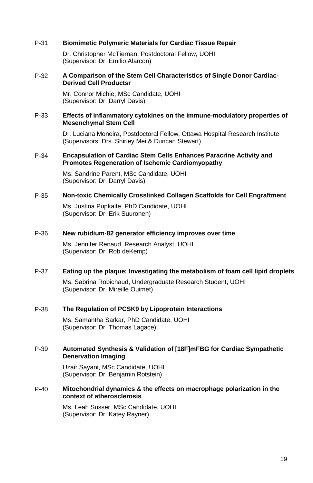#### P-31 **Biomimetic Polymeric Materials for Cardiac Tissue Repair**

Dr. Christopher McTiernan, Postdoctoral Fellow, UOHI (Supervisor: Dr. Emilio Alarcon)

#### P-32 **A Comparison of the Stem Cell Characteristics of Single Donor Cardiac-Derived Cell Productsr**

Mr. Connor Michie, MSc Candidate, UOHI (Supervisor: Dr. Darryl Davis)

#### P-33 **Effects of inflammatory cytokines on the immune-modulatory properties of Mesenchymal Stem Cell**

Dr. Luciana Moneira, Postdoctoral Fellow, Ottawa Hospital Research Institute (Supervisors: Drs. Shirley Mei & Duncan Stewart)

#### P-34 **Encapsulation of Cardiac Stem Cells Enhances Paracrine Activity and Promotes Regeneration of Ischemic Cardiomyopathy**

Ms. Sandrine Parent, MSc Candidate, UOHI (Supervisor: Dr. Darryl Davis)

#### P-35 **Non-toxic Chemically Crosslinked Collagen Scaffolds for Cell Engraftment**

Ms. Justina Pupkaite, PhD Candidate, UOHI (Supervisor: Dr. Erik Suuronen)

#### P-36 **New rubidium-82 generator efficiency improves over time**

Ms. Jennifer Renaud, Research Analyst, UOHI (Supervisor: Dr. Rob deKemp)

#### P-37 **Eating up the plaque: Investigating the metabolism of foam cell lipid droplets**

Ms. Sabrina Robichaud, Undergraduate Research Student, UOHI (Supervisor: Dr. Mireille Ouimet)

#### P-38 **The Regulation of PCSK9 by Lipoprotein Interactions**

Ms. Samantha Sarkar, PhD Candidate, UOHI (Supervisor: Dr. Thomas Lagace)

#### P-39 **Automated Synthesis & Validation of [18F]mFBG for Cardiac Sympathetic Denervation Imaging**

Uzair Sayani, MSc Candidate, UOHI (Supervisor: Dr. Benjamin Rotstein)

#### P-40 **Mitochondrial dynamics & the effects on macrophage polarization in the context of atherosclerosis**

Ms. Leah Susser, MSc Candidate, UOHI (Supervisor: Dr. Katey Rayner)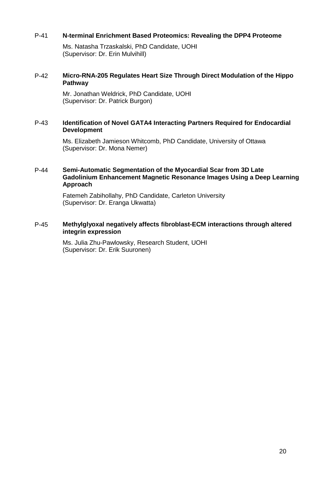#### P-41 **N-terminal Enrichment Based Proteomics: Revealing the DPP4 Proteome**

Ms. Natasha Trzaskalski, PhD Candidate, UOHI (Supervisor: Dr. Erin Mulvihill)

#### P-42 **Micro-RNA-205 Regulates Heart Size Through Direct Modulation of the Hippo Pathway**

Mr. Jonathan Weldrick, PhD Candidate, UOHI (Supervisor: Dr. Patrick Burgon)

#### P-43 **Identification of Novel GATA4 Interacting Partners Required for Endocardial Development**

Ms. Elizabeth Jamieson Whitcomb, PhD Candidate, University of Ottawa (Supervisor: Dr. Mona Nemer)

#### P-44 **Semi-Automatic Segmentation of the Myocardial Scar from 3D Late Gadolinium Enhancement Magnetic Resonance Images Using a Deep Learning Approach**

Fatemeh Zabihollahy, PhD Candidate, Carleton University (Supervisor: Dr. Eranga Ukwatta)

#### P-45 **Methylglyoxal negatively affects fibroblast-ECM interactions through altered integrin expression**

Ms. Julia Zhu-Pawlowsky, Research Student, UOHI (Supervisor: Dr. Erik Suuronen)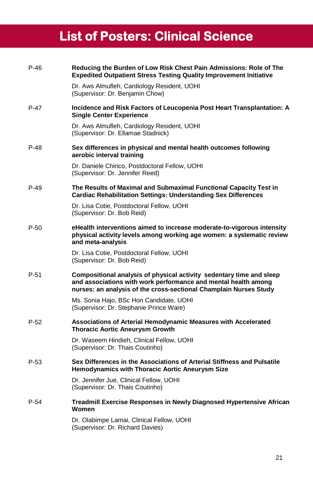# **List of Posters: Clinical Science**

| $P-46$ | Reducing the Burden of Low Risk Chest Pain Admissions: Role of The<br><b>Expedited Outpatient Stress Testing Quality Improvement Initiative</b>                                                             |
|--------|-------------------------------------------------------------------------------------------------------------------------------------------------------------------------------------------------------------|
|        | Dr. Aws Almufleh, Cardiology Resident, UOHI<br>(Supervisor: Dr. Benjamin Chow)                                                                                                                              |
| $P-47$ | Incidence and Risk Factors of Leucopenia Post Heart Transplantation: A<br><b>Single Center Experience</b>                                                                                                   |
|        | Dr. Aws Almufleh, Cardiology Resident, UOHI<br>(Supervisor: Dr. Ellamae Stadnick)                                                                                                                           |
| P-48   | Sex differences in physical and mental health outcomes following<br>aerobic interval training                                                                                                               |
|        | Dr. Daniele Chirico, Postdoctoral Fellow, UOHI<br>(Supervisor: Dr. Jennifer Reed)                                                                                                                           |
| P-49   | The Results of Maximal and Submaximal Functional Capacity Test in<br><b>Cardiac Rehabilitation Settings: Understanding Sex Differences</b>                                                                  |
|        | Dr. Lisa Cotie, Postdoctoral Fellow, UOHI<br>(Supervisor: Dr. Bob Reid)                                                                                                                                     |
| $P-50$ | eHealth interventions aimed to increase moderate-to-vigorous intensity<br>physical activity levels among working age women: a systematic review<br>and meta-analysis                                        |
|        | Dr. Lisa Cotie, Postdoctoral Fellow, UOHI<br>(Supervisor: Dr. Bob Reid)                                                                                                                                     |
| P-51   | Compositional analysis of physical activity sedentary time and sleep<br>and associations with work performance and mental health among<br>nurses: an analysis of the cross-sectional Champlain Nurses Study |
|        | Ms. Sonia Hajo, BSc Hon Candidate, UOHI<br>(Supervisor: Dr. Stephanie Prince Ware)                                                                                                                          |
| $P-52$ | Associations of Arterial Hemodynamic Measures with Accelerated<br><b>Thoracic Aortic Aneurysm Growth</b>                                                                                                    |
|        | Dr. Waseem Hindieh, Clinical Fellow, UOHI<br>(Supervisor: Dr. Thais Coutinho)                                                                                                                               |
| $P-53$ | Sex Differences in the Associations of Arterial Stiffness and Pulsatile<br><b>Hemodynamics with Thoracic Aortic Aneurysm Size</b>                                                                           |
|        | Dr. Jennifer Jue, Clinical Fellow, UOHI<br>(Supervisor: Dr. Thais Coutinho)                                                                                                                                 |
| $P-54$ | Treadmill Exercise Responses in Newly Diagnosed Hypertensive African<br>Women                                                                                                                               |
|        | Dr. Olabimpe Lamai, Clinical Fellow, UOHI<br>(Supervisor: Dr. Richard Davies)                                                                                                                               |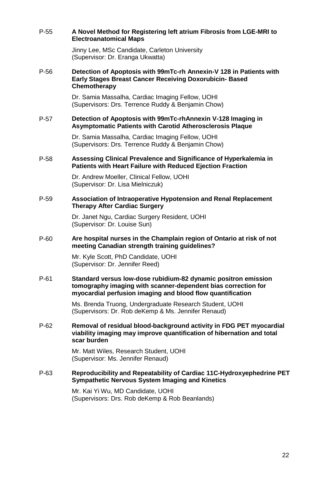#### P-55 **A Novel Method for Registering left atrium Fibrosis from LGE-MRI to Electroanatomical Maps**

Jinny Lee, MSc Candidate, Carleton University (Supervisor: Dr. Eranga Ukwatta)

#### P-56 **Detection of Apoptosis with 99mTc-rh Annexin-V 128 in Patients with Early Stages Breast Cancer Receiving Doxorubicin- Based Chemotherapy**

Dr. Samia Massalha, Cardiac Imaging Fellow, UOHI (Supervisors: Drs. Terrence Ruddy & Benjamin Chow)

#### P-57 **Detection of Apoptosis with 99mTc-rhAnnexin V-128 Imaging in Asymptomatic Patients with Carotid Atherosclerosis Plaque**

Dr. Samia Massalha, Cardiac Imaging Fellow, UOHI (Supervisors: Drs. Terrence Ruddy & Benjamin Chow)

#### P-58 **Assessing Clinical Prevalence and Significance of Hyperkalemia in Patients with Heart Failure with Reduced Ejection Fraction**

Dr. Andrew Moeller, Clinical Fellow, UOHI (Supervisor: Dr. Lisa Mielniczuk)

#### P-59 **Association of Intraoperative Hypotension and Renal Replacement Therapy After Cardiac Surgery**

Dr. Janet Ngu, Cardiac Surgery Resident, UOHI (Supervisor: Dr. Louise Sun)

#### P-60 **Are hospital nurses in the Champlain region of Ontario at risk of not meeting Canadian strength training guidelines?**

Mr. Kyle Scott, PhD Candidate, UOHI (Supervisor: Dr. Jennifer Reed)

#### P-61 **Standard versus low-dose rubidium-82 dynamic positron emission tomography imaging with scanner-dependent bias correction for myocardial perfusion imaging and blood flow quantification**

Ms. Brenda Truong, Undergraduate Research Student, UOHI (Supervisors: Dr. Rob deKemp & Ms. Jennifer Renaud)

#### P-62 **Removal of residual blood-background activity in FDG PET myocardial viability imaging may improve quantification of hibernation and total scar burden**

Mr. Matt Wiles, Research Student, UOHI (Supervisor: Ms. Jennifer Renaud)

#### P-63 **Reproducibility and Repeatability of Cardiac 11C-Hydroxyephedrine PET Sympathetic Nervous System Imaging and Kinetics**

Mr. Kai Yi Wu, MD Candidate, UOHI (Supervisors: Drs. Rob deKemp & Rob Beanlands)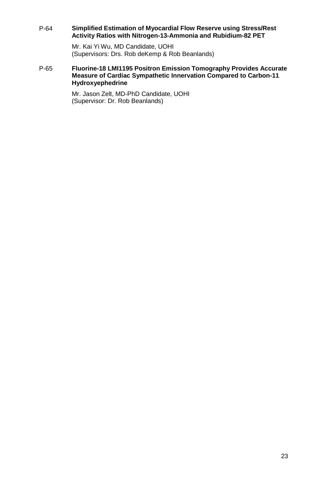#### P-64 **Simplified Estimation of Myocardial Flow Reserve using Stress/Rest Activity Ratios with Nitrogen-13-Ammonia and Rubidium-82 PET**

Mr. Kai Yi Wu, MD Candidate, UOHI (Supervisors: Drs. Rob deKemp & Rob Beanlands)

#### P-65 **Fluorine-18 LMI1195 Positron Emission Tomography Provides Accurate Measure of Cardiac Sympathetic Innervation Compared to Carbon-11 Hydroxyephedrine**

Mr. Jason Zelt, MD-PhD Candidate, UOHI (Supervisor: Dr. Rob Beanlands)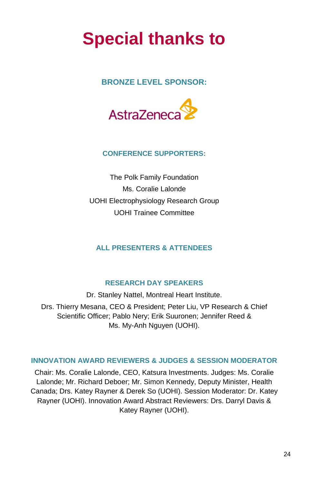# **Special thanks to**

## **BRONZE LEVEL SPONSOR:**



### **CONFERENCE SUPPORTERS:**

The Polk Family Foundation Ms. Coralie Lalonde UOHI Electrophysiology Research Group UOHI Trainee Committee

## **ALL PRESENTERS & ATTENDEES**

### **RESEARCH DAY SPEAKERS**

Dr. Stanley Nattel, Montreal Heart Institute. Drs. Thierry Mesana, CEO & President; Peter Liu, VP Research & Chief Scientific Officer; Pablo Nery; Erik Suuronen; Jennifer Reed & Ms. My-Anh Nguyen (UOHI).

### **INNOVATION AWARD REVIEWERS & JUDGES & SESSION MODERATOR**

Chair: Ms. Coralie Lalonde, CEO, Katsura Investments. Judges: Ms. Coralie Lalonde; Mr. Richard Deboer; Mr. Simon Kennedy, Deputy Minister, Health Canada; Drs. Katey Rayner & Derek So (UOHI). Session Moderator: Dr. Katey Rayner (UOHI). Innovation Award Abstract Reviewers: Drs. Darryl Davis & Katey Rayner (UOHI).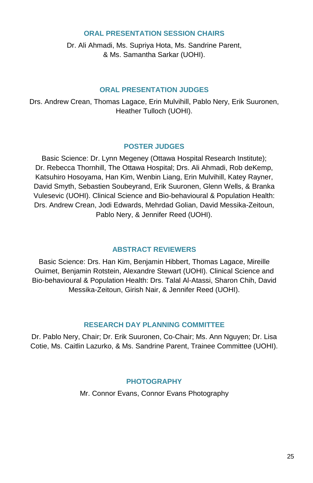### **ORAL PRESENTATION SESSION CHAIRS**

Dr. Ali Ahmadi, Ms. Supriya Hota, Ms. Sandrine Parent, & Ms. Samantha Sarkar (UOHI).

#### **ORAL PRESENTATION JUDGES**

Drs. Andrew Crean, Thomas Lagace, Erin Mulvihill, Pablo Nery, Erik Suuronen, Heather Tulloch (UOHI).

### **POSTER JUDGES**

Basic Science: Dr. Lynn Megeney (Ottawa Hospital Research Institute); Dr. Rebecca Thornhill, The Ottawa Hospital; Drs. Ali Ahmadi, Rob deKemp, Katsuhiro Hosoyama, Han Kim, Wenbin Liang, Erin Mulvihill, Katey Rayner, David Smyth, Sebastien Soubeyrand, Erik Suuronen, Glenn Wells, & Branka Vulesevic (UOHI). Clinical Science and Bio-behavioural & Population Health: Drs. Andrew Crean, Jodi Edwards, Mehrdad Golian, David Messika-Zeitoun, Pablo Nery, & Jennifer Reed (UOHI).

### **ABSTRACT REVIEWERS**

Basic Science: Drs. Han Kim, Benjamin Hibbert, Thomas Lagace, Mireille Ouimet, Benjamin Rotstein, Alexandre Stewart (UOHI). Clinical Science and Bio-behavioural & Population Health: Drs. Talal Al-Atassi, Sharon Chih, David Messika-Zeitoun, Girish Nair, & Jennifer Reed (UOHI).

### **RESEARCH DAY PLANNING COMMITTEE**

Dr. Pablo Nery, Chair; Dr. Erik Suuronen, Co-Chair; Ms. Ann Nguyen; Dr. Lisa Cotie, Ms. Caitlin Lazurko, & Ms. Sandrine Parent, Trainee Committee (UOHI).

### **PHOTOGRAPHY**

Mr. Connor Evans, Connor Evans Photography